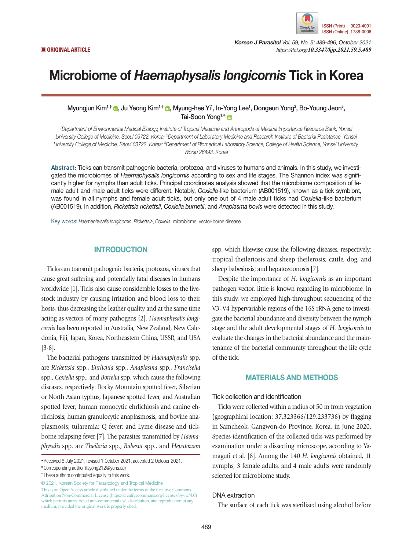

*Korean J Parasitol Vol. 59, No. 5: 489-496, October 2021* ▣ **ORIGINAL ARTICLE** *https://doi.org/10.3347/kjp.2021.59.5.489*

# Microbiome of *Haemaphysalis longicornis* Tick in Korea

Myungjun Kim<sup>1[,](https://orcid.org/0000-0003-2456-6298)†</sup> ©, Ju Yeong Kim<sup>1,†</sup> ©, Myung-hee Yi<sup>1</sup>, In-Yong Lee<sup>1</sup>, Dongeun Yong<sup>2</sup>, Bo-Young Jeon<sup>3</sup>, Tai-Soon Yong<sup>1,[\\*](https://orcid.org/0000-0002-3445-0769)</sup>

*1 Department of Environmental Medical Biology, Institute of Tropical Medicine and Arthropods of Medical Importance Resource Bank, Yonsei*  University College of Medicine, Seoul 03722, Korea; <sup>2</sup>Department of Laboratory Medicine and Research Institute of Bacterial Resistance, Yonsei University College of Medicine, Seoul 03722, Korea; <sup>3</sup>Department of Biomedical Laboratory Science, College of Health Science, Yonsei University, *Wonju 26493, Korea*

**Abstract:** Ticks can transmit pathogenic bacteria, protozoa, and viruses to humans and animals. In this study, we investigated the microbiomes of *Haemaphysalis longicornis* according to sex and life stages. The Shannon index was significantly higher for nymphs than adult ticks. Principal coordinates analysis showed that the microbiome composition of female adult and male adult ticks were different. Notably, *Coxiella*-like bacterium (AB001519), known as a tick symbiont, was found in all nymphs and female adult ticks, but only one out of 4 male adult ticks had *Coxiella*-like bacterium (AB001519). In addition, *Rickettsia rickettsii*, *Coxiella burnetii*, and *Anaplasma bovis* were detected in this study.

Key words: *Haemaphysalis longicornis*, *Rickettsia*, *Coxiella*, microbiome, vector-borne disease

# **INTRODUCTION**

Ticks can transmit pathogenic bacteria, protozoa, viruses that cause great suffering and potentially fatal diseases in humans worldwide [1]. Ticks also cause considerable losses to the livestock industry by causing irritation and blood loss to their hosts, thus decreasing the leather quality and at the same time acting as vectors of many pathogens [2]. *Haemaphysalis longicornis* has been reported in Australia, New Zealand, New Caledonia, Fiji, Japan, Korea, Northeastern China, USSR, and USA [3-6].

The bacterial pathogens transmitted by *Haemaphysalis* spp. are *Rickettsia* spp., *Ehrlichia* spp., *Anaplasma* spp., *Francisella* spp., *Coxiella* spp., and *Borrelia* spp. which cause the following diseases, respectively: Rocky Mountain spotted fever, Siberian or North Asian typhus, Japanese spotted fever, and Australian spotted fever; human monocytic ehrlichiosis and canine ehrlichiosis; human granulocytic anaplasmosis, and bovine anaplasmosis; tularemia; Q fever; and Lyme disease and tickborne relapsing fever [7]. The parasites transmitted by *Haemaphysalis* spp. are *Theileria* spp., *Babesia* spp., and *Hepatozoon*

© 2021, Korean Society for Parasitology and Tropical Medicine

This is an Open Access article distributed under the terms of the Creative Commons Attribution Non-Commercial License (https://creativecommons.org/licenses/by-nc/4.0) which permits unrestricted non-commercial use, distribution, and reproduction in any medium, provided the original work is properly cited.

spp. which likewise cause the following diseases, respectively: tropical theileriosis and sheep theilerosis; cattle, dog, and sheep babesiosis; and hepatozoonosis [7].

Despite the importance of *H. longicornis* as an important pathogen vector, little is known regarding its microbiome. In this study, we employed high-throughput sequencing of the V3–V4 hypervariable regions of the 16S rRNA gene to investigate the bacterial abundance and diversity between the nymph stage and the adult developmental stages of *H. longicornis* to evaluate the changes in the bacterial abundance and the maintenance of the bacterial community throughout the life cycle of the tick.

## MATERIALS AND METHODS

## Tick collection and identification

Ticks were collected within a radius of 50 m from vegetation (geographical location: 37.323366/129.233736) by flagging in Samcheok, Gangwon-do Province, Korea, in June 2020. Species identification of the collected ticks was performed by examination under a dissecting microscope, according to Yamaguti et al. [8]. Among the 140 *H. longicornis* obtained, 11 nymphs, 3 female adults, and 4 male adults were randomly selected for microbiome study.

## DNA extraction

The surface of each tick was sterilized using alcohol before

**<sup>•</sup>**Received 6 July 2021, revised 1 October 2021, accepted 2 October 2021.

**<sup>\*</sup>**Corresponding author (tsyong212@yuhs.ac)

**<sup>†</sup>** These authors contributed equally to this work.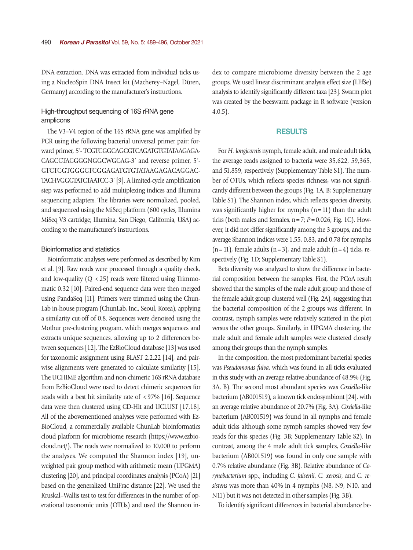DNA extraction. DNA was extracted from individual ticks using a NucleoSpin DNA Insect kit (Macherey–Nagel, Düren, Germany) according to the manufacturer's instructions.

# High-throughput sequencing of 16S rRNA gene amplicons

The V3–V4 region of the 16S rRNA gene was amplified by PCR using the following bacterial universal primer pair: forward primer, 5´- TCGTCGGCAGCGTCAGATGTGTATAAGAGA-CAGCCTACGGGNGGCWGCAG-3´ and reverse primer, 5´- GTCTCGTGGGCTCGGAGATGTGTATAAGAGACAGGAC-TACHVGGGTATCTAATCC-3´ [9]. A limited-cycle amplification step was performed to add multiplexing indices and Illumina sequencing adapters. The libraries were normalized, pooled, and sequenced using the MiSeq platform (600 cycles, Illumina MiSeq V3 cartridge; Illumina, San Diego, California, USA) according to the manufacturer's instructions.

#### Bioinformatics and statistics

Bioinformatic analyses were performed as described by Kim et al. [9]. Raw reads were processed through a quality check, and low-quality  $(O < 25)$  reads were filtered using Trimmomatic 0.32 [10]. Paired-end sequence data were then merged using PandaSeq [11]. Primers were trimmed using the Chun-Lab in-house program (ChunLab, Inc., Seoul, Korea), applying a similarity cut-off of 0.8. Sequences were denoised using the Mothur pre-clustering program, which merges sequences and extracts unique sequences, allowing up to 2 differences between sequences [12]. The EzBioCloud database [13] was used for taxonomic assignment using BLAST 2.2.22 [14], and pairwise alignments were generated to calculate similarity [15]. The UCHIME algorithm and non-chimeric 16S rRNA database from EzBioCloud were used to detect chimeric sequences for reads with a best hit similarity rate of <97% [16]. Sequence data were then clustered using CD-Hit and UCLUST [17,18]. All of the abovementioned analyses were performed with Ez-BioCloud, a commercially available ChunLab bioinformatics cloud platform for microbiome research (https://www.ezbiocloud.net/). The reads were normalized to 10,000 to perform the analyses. We computed the Shannon index [19], unweighted pair group method with arithmetic mean (UPGMA) clustering [20], and principal coordinates analysis (PCoA) [21] based on the generalized UniFrac distance [22]. We used the Kruskal–Wallis test to test for differences in the number of operational taxonomic units (OTUs) and used the Shannon index to compare microbiome diversity between the 2 age groups. We used linear discriminant analysis effect size (LEfSe) analysis to identify significantly different taxa [23]. Swarm plot was created by the beeswarm package in R software (version 4.0.5).

# RESULTS

For *H. longicornis* nymph, female adult, and male adult ticks, the average reads assigned to bacteria were 35,622, 59,365, and 51,859, respectively (Supplementary Table S1). The number of OTUs, which reflects species richness, was not significantly different between the groups (Fig. 1A, B; Supplementary Table S1). The Shannon index, which reflects species diversity, was significantly higher for nymphs  $(n=11)$  than the adult ticks (both males and females,  $n=7$ ;  $P=0.026$ ; Fig. 1C). However, it did not differ significantly among the 3 groups, and the average Shannon indices were 1.55, 0.83, and 0.78 for nymphs  $(n=11)$ , female adults  $(n=3)$ , and male adult  $(n=4)$  ticks, respectively (Fig. 1D; Supplementary Table S1).

Beta diversity was analyzed to show the difference in bacterial composition between the samples. First, the PCoA result showed that the samples of the male adult group and those of the female adult group clustered well (Fig. 2A), suggesting that the bacterial composition of the 2 groups was different. In contrast, nymph samples were relatively scattered in the plot versus the other groups. Similarly, in UPGMA clustering, the male adult and female adult samples were clustered closely among their groups than the nymph samples.

In the composition, the most predominant bacterial species was *Pseudomonas fulva*, which was found in all ticks evaluated in this study with an average relative abundance of 48.9% (Fig. 3A, B). The second most abundant species was *Coxiella*-like bacterium (AB001519), a known tick endosymbiont [24], with an average relative abundance of 20.7% (Fig. 3A). *Coxiella*-like bacterium (AB001519) was found in all nymphs and female adult ticks although some nymph samples showed very few reads for this species (Fig. 3B; Supplementary Table S2). In contrast, among the 4 male adult tick samples, *Coxiella*-like bacterium (AB001519) was found in only one sample with 0.7% relative abundance (Fig. 3B). Relative abundance of *Corynebacterium* spp., including *C. falsenii*, *C. xerosis*, and *C. resistens* was more than 40% in 4 nymphs (N8, N9, N10, and N11) but it was not detected in other samples (Fig. 3B).

To identify significant differences in bacterial abundance be-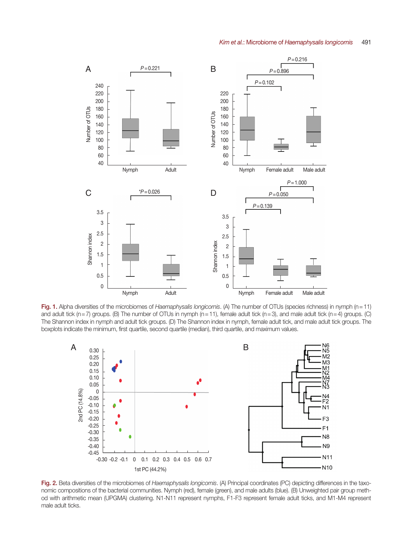

Fig. 1. Alpha diversities of the microbiomes of *Haemaphysalis longicornis*. (A) The number of OTUs (species richness) in nymph (n=11) and adult tick (n=7) groups. (B) The number of OTUs in nymph (n=11), female adult tick (n=3), and male adult tick (n=4) groups. (C) The Shannon index in nymph and adult tick groups. (D) The Shannon index in nymph, female adult tick, and male adult tick groups. The boxplots indicate the minimum, first quartile, second quartile (median), third quartile, and maximum values.



Fig. 2. Beta diversities of the microbiomes of *Haemaphysalis longicornis*. (A) Principal coordinates (PC) depicting differences in the taxonomic compositions of the bacterial communities. Nymph (red), female (green), and male adults (blue). (B) Unweighted pair group method with arithmetic mean (UPGMA) clustering. N1-N11 represent nymphs, F1-F3 represent female adult ticks, and M1-M4 represent male adult ticks.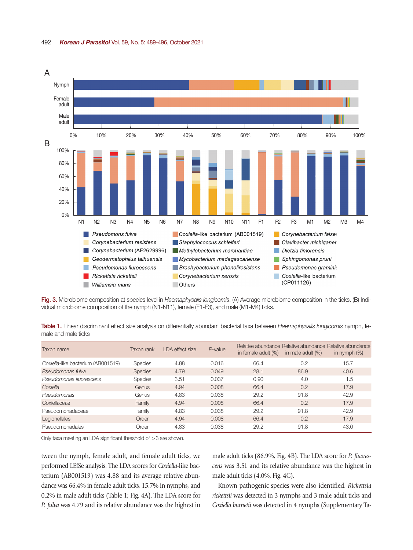

Fig. 3. Microbiome composition at species level in *Haemaphysalis longicornis*. (A) Average microbiome composition in the ticks. (B) Individual microbiome composition of the nymph (N1-N11), female (F1-F3), and male (M1-M4) ticks.

Table 1. Linear discriminant effect size analysis on differentially abundant bacterial taxa between *Haemaphysalis longicornis* nymph, female and male ticks

| Taxon name                         | Taxon rank     | LDA effect size | P-value | Relative abundance Relative abundance Relative abundance<br>in female adult (%) | in male adult $(\%)$ | in nymph $(\%)$ |
|------------------------------------|----------------|-----------------|---------|---------------------------------------------------------------------------------|----------------------|-----------------|
| Coxiella-like bacterium (AB001519) | <b>Species</b> | 4.88            | 0.016   | 66.4                                                                            | 0.2                  | 15.7            |
| Pseudomonas fulva                  | <b>Species</b> | 4.79            | 0.049   | 28.1                                                                            | 86.9                 | 40.6            |
| Pseudomonas fluorescens            | <b>Species</b> | 3.51            | 0.037   | 0.90                                                                            | 4.0                  | 1.5             |
| Coxiella                           | Genus          | 4.94            | 0.008   | 66.4                                                                            | 0.2                  | 17.9            |
| <b>Pseudomonas</b>                 | Genus          | 4.83            | 0.038   | 29.2                                                                            | 91.8                 | 42.9            |
| Coxiellaceae                       | Family         | 4.94            | 0.008   | 66.4                                                                            | 0.2                  | 17.9            |
| Pseudomonadaceae                   | Family         | 4.83            | 0.038   | 29.2                                                                            | 91.8                 | 42.9            |
| Legionellales                      | Order          | 4.94            | 0.008   | 66.4                                                                            | 0.2                  | 17.9            |
| Pseudomonadales                    | Order          | 4.83            | 0.038   | 29.2                                                                            | 91.8                 | 43.0            |

Only taxa meeting an LDA significant threshold of >3 are shown.

tween the nymph, female adult, and female adult ticks, we performed LEfSe analysis. The LDA scores for *Coxiella*-like bacterium (AB001519) was 4.88 and its average relative abundance was 66.4% in female adult ticks, 15.7% in nymphs, and 0.2% in male adult ticks (Table 1; Fig. 4A). The LDA score for *P. fulva* was 4.79 and its relative abundance was the highest in male adult ticks (86.9%, Fig. 4B). The LDA score for *P. fluorescens* was 3.51 and its relative abundance was the highest in male adult ticks (4.0%, Fig. 4C).

Known pathogenic species were also identified. *Rickettsia rickettsii* was detected in 3 nymphs and 3 male adult ticks and *Coxiella burnetii* was detected in 4 nymphs (Supplementary Ta-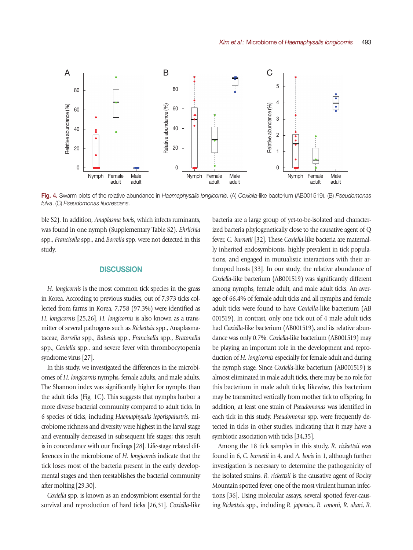

Fig. 4. Swarm plots of the relative abundance in *Haemaphysalis longicornis*. (A) *Coxiella*-like bacterium (AB001519). (B) *Pseudomonas fulva*. (C) *Pseudomonas fluorescens*.

ble S2). In addition, *Anaplasma bovis*, which infects ruminants, was found in one nymph (Supplementary Table S2). *Ehrlichia* spp., *Francisella* spp., and *Borrelia* spp. were not detected in this study.

## **DISCUSSION**

*H. longicornis* is the most common tick species in the grass in Korea. According to previous studies, out of 7,973 ticks collected from farms in Korea, 7,758 (97.3%) were identified as *H. longicornis* [25,26]. *H. longicornis* is also known as a transmitter of several pathogens such as *Rickettsia* spp., Anaplasmataceae, *Borrelia* spp., *Babesia* spp., *Francisella* spp., *Bratonella* spp., *Coxiella* spp., and severe fever with thrombocytopenia syndrome virus [27].

In this study, we investigated the differences in the microbiomes of *H. longicornis* nymphs, female adults, and male adults. The Shannon index was significantly higher for nymphs than the adult ticks (Fig. 1C). This suggests that nymphs harbor a more diverse bacterial community compared to adult ticks. In 6 species of ticks, including *Haemaphysalis leporispalustris*, microbiome richness and diversity were highest in the larval stage and eventually decreased in subsequent life stages; this result is in concordance with our findings [28]. Life-stage related differences in the microbiome of *H. longicornis* indicate that the tick loses most of the bacteria present in the early developmental stages and then reestablishes the bacterial community after molting [29,30].

*Coxiella* spp. is known as an endosymbiont essential for the survival and reproduction of hard ticks [26,31]. *Coxiella*-like bacteria are a large group of yet-to-be-isolated and characterized bacteria phylogenetically close to the causative agent of Q fever, *C. burnetii* [32]. These *Coxiella*-like bacteria are maternally inherited endosymbionts, highly prevalent in tick populations, and engaged in mutualistic interactions with their arthropod hosts [33]. In our study, the relative abundance of *Coxiella*-like bacterium (AB001519) was significantly different among nymphs, female adult, and male adult ticks. An average of 66.4% of female adult ticks and all nymphs and female adult ticks were found to have *Coxiella*-like bacterium (AB 001519). In contrast, only one tick out of 4 male adult ticks had *Coxiella*-like bacterium (AB001519), and its relative abundance was only 0.7%. *Coxiella*-like bacterium (AB001519) may be playing an important role in the development and reproduction of *H. longicornis* especially for female adult and during the nymph stage. Since *Coxiella*-like bacterium (AB001519) is almost eliminated in male adult ticks, there may be no role for this bacterium in male adult ticks; likewise, this bacterium may be transmitted vertically from mother tick to offspring. In addition, at least one strain of *Pseudomonas* was identified in each tick in this study. *Pseudomonas* spp. were frequently detected in ticks in other studies, indicating that it may have a symbiotic association with ticks [34,35].

Among the 18 tick samples in this study, *R. rickettsii* was found in 6, *C. burnetii* in 4, and *A. bovis* in 1, although further investigation is necessary to determine the pathogenicity of the isolated strains. *R. rickettsii* is the causative agent of Rocky Mountain spotted fever, one of the most virulent human infections [36]. Using molecular assays, several spotted fever-causing *Rickettsia* spp., including *R. japonica*, *R. conorii*, *R. akari*, *R.*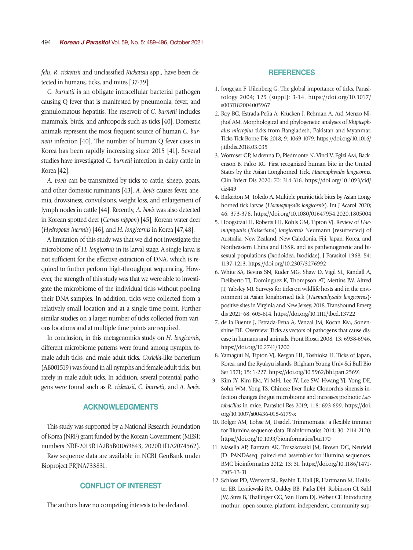*felis*, *R. rickettsii* and unclassified *Rickettsia* spp., have been detected in humans, ticks, and mites [37-39].

*C. burnetii* is an obligate intracellular bacterial pathogen causing Q fever that is manifested by pneumonia, fever, and granulomatous hepatitis. The reservoir of *C. burnetii* includes mammals, birds, and arthropods such as ticks [40]. Domestic animals represent the most frequent source of human *C. burnetii* infection [40]. The number of human Q fever cases in Korea has been rapidly increasing since 2015 [41]. Several studies have investigated *C. burnetii* infection in dairy cattle in Korea [42].

*A. bovis* can be transmitted by ticks to cattle, sheep, goats, and other domestic ruminants [43]. *A. bovis* causes fever, anemia, drowsiness, convulsions, weight loss, and enlargement of lymph nodes in cattle [44]. Recently, *A. bovis* was also detected in Korean spotted deer (*Cervus nippon*) [45], Korean water deer (*Hydropotes inermis*) [46], and *H. longicornis* in Korea [47,48].

A limitation of this study was that we did not investigate the microbiome of *H. longicornis* in its larval stage. A single larva is not sufficient for the effective extraction of DNA, which is required to further perform high-throughput sequencing. However, the strength of this study was that we were able to investigate the microbiome of the individual ticks without pooling their DNA samples. In addition, ticks were collected from a relatively small location and at a single time point. Further similar studies on a larger number of ticks collected from various locations and at multiple time points are required.

In conclusion, in this metagenomics study on *H. longicornis*, different microbiome patterns were found among nymphs, female adult ticks, and male adult ticks. *Coxiella*-like bacterium (AB001519) was found in all nymphs and female adult ticks, but rarely in male adult ticks. In addition, several potential pathogens were found such as *R. rickettsii*, *C. burnetii*, and *A. bovis*.

# ACKNOWLEDGMENTS

This study was supported by a National Research Foundation of Korea (NRF) grant funded by the Korean Government (MEST; numbers NRF-2019R1A2B5B01069843, 2020R1I1A2074562).

Raw sequence data are available in NCBI GenBank under Bioproject PRJNA733831.

# CONFLICT OF INTEREST

The authors have no competing interests to be declared.

## **REFERENCES**

- 1. Jongejan F, Uilenberg G. The global importance of ticks. Parasitology 2004; 129 (suppl): 3-14. https://doi.org/10.1017/ s0031182004005967
- 2. Roy BC, Estrada-Peña A, Krücken J, Rehman A, Ard Menzo Nijhof AM. Morphological and phylogenetic analyses of *Rhipicephalus microplus* ticks from Bangladesh, Pakistan and Myanmar. Ticks Tick Borne Dis 2018; 9: 1069-1079. [https://doi.org/10.1016/](https://doi.org/10.1016/j.ttbdis.2018.03.035) [j.ttbdis.2018.03.035](https://doi.org/10.1016/j.ttbdis.2018.03.035)
- 3. Wormser GP, Mckenna D, Piedmonte N, Vinci V, Egizi AM, Backenson B, Falco RC. First recognized human bite in the United States by the Asian Longhorned Tick, *Haemaphysalis longicornis*. Clin Infect Dis 2020; 70: 314-316. [https://doi.org/10.1093/cid/](https://doi.org/10.1093/cid/ciz449) [ciz449](https://doi.org/10.1093/cid/ciz449)
- 4. Bickerton M, Toledo A. Multiple pruritic tick bites by Asian Longhorned tick larvae (*Haemaphysalis longicornis*). Int J Acarol 2020; 46: 373-376. https://doi.org/10.1080/01647954.2020.1805004
- 5. Hoogstraal H, Roberts FH, Kohls GM, Tipton VJ. Review of *Haemaphysalis* (*Kaiseriana*) *longicornis* Neumann (resurrected) of Australia, New Zealand, New Caledonia, Fiji, Japan, Korea, and Northeastern China and USSR, and its parthenogenetic and bisexual populations (Ixodoidea, Ixodidae). J Parasitol 1968; 54: 1197-1213. https://doi.org/10.2307/3276992
- 6. White SA, Bevins SN, Ruder MG, Shaw D, Vigil SL, Randall A, Deliberto TJ, Dominguez K, Thompson AT, Mertins JW, Alfred JT, Yabsley MJ. Surveys for ticks on wildlife hosts and in the environment at Asian longhorned tick (*Haemaphysalis longicornis*) positive sites in Virginia and New Jersey, 2018. Transbound Emerg dis 2021; 68: 605-614. https://doi.org/10.1111/tbed.13722
- 7. de la Fuente J, Estrada-Pena A, Venzal JM, Kocan KM, Sonenshine DE. Overview: Ticks as vectors of pathogens that cause disease in humans and animals. Front Biosci 2008; 13: 6938-6946. https://doi.org/10.2741/3200
- 8. Yamaguti N, Tipton VJ, Keegan HL, Toshioka H. Ticks of Japan, Korea, and the Ryukyu islands. Brigham Young Univ Sci Bull Bio Ser 1971; 15: 1-227. https://doi.org/10.5962/bhl.part.25691
- 9. Kim JY, Kim EM, Yi MH, Lee JY, Lee SW, Hwang YJ, Yong DE, Sohn WM. Yong TS. Chinese liver fluke Clonorchis sinensis infection changes the gut microbiome and increases probiotic *Lactobacillus* in mice. Parasitol Res 2019; 118: 693-699. https://doi. org/10.1007/s00436-018-6179-x
- 10. Bolger AM, Lohse M, Usadel. Trimmomatic: a flexible trimmer for Illumina sequence data. Bioinformatics 2014; 30: 2114-2120. https://doi.org/10.1093/bioinformatics/btu170
- 11. Masella AP, Bartram AK, Truszkowski JM, Brown DG, Neufeld JD. PANDAseq: paired-end assembler for illumina sequences. BMC bioinformatics 2012; 13: 31. https://doi.org/10.1186/1471- 2105-13-31
- 12. Schloss PD, Westcott SL, Ryabin T, Hall JR, Hartmann M, Hollister EB, Lesniewski RA, Oakley BB, Parks DH, Robinson CJ, Sahl JW, Stres B, Thallinger GG, Van Horn DJ, Weber CF. Introducing mothur: open-source, platform-independent, community sup-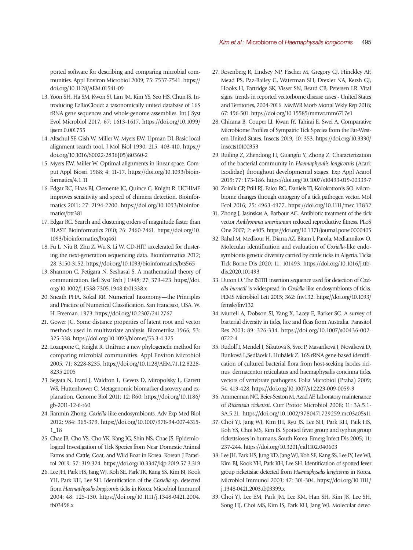ported software for describing and comparing microbial communities. Appl Environ Microbiol 2009; 75: 7537-7541. https:// doi.org/10.1128/AEM.01541-09

- 13. Yoon SH, Ha SM, Kwon SJ, Lim JM, Kim YS, Seo HS, Chun JS. Introducing EzBioCloud: a taxonomically united database of 16S rRNA gene sequences and whole-genome assemblies. Int J Syst Evol Microbiol 2017; 67: 1613-1617. https://doi.org/10.1099/ ijsem.0.001755
- 14. Altschul SF, Gish W, Miller W, Myers EW, Lipman DJ. Basic local alignment search tool. J Mol Biol 1990; 215: 403-410. https:// doi.org/10.1016/S0022-2836(05)80360-2
- 15. Myers EW, Miller W. Optimal alignments in linear space. Comput Appl Biosci 1988; 4: 11-17. https://doi.org/10.1093/bioinformatics/4.1.11
- 16. Edgar RC, Haas BJ, Clemente JC, Quince C, Knight R. UCHIME improves sensitivity and speed of chimera detection. Bioinformatics 2011; 27: 2194-2200. https://doi.org/10.1093/bioinformatics/btr381
- 17. Edgar RC. Search and clustering orders of magnitude faster than BLAST. Bioinformatics 2010; 26: 2460-2461. [https://doi.org/10.](https://doi.org/10.1093/bioinformatics/btq461) [1093/bioinformatics/btq461](https://doi.org/10.1093/bioinformatics/btq461)
- 18. Fu L, Niu B, Zhu Z, Wu S, Li W. CD-HIT: accelerated for clustering the next-generation sequencing data. Bioinformatics 2012; 28: 3150-3152. https://doi.org/10.1093/bioinformatics/bts565
- 19. Shannon C, Petigara N, Seshasai S. A mathematical theory of communication. Bell Syst Tech J 1948; 27: 379-423. https://doi. org/10.1002/j.1538-7305.1948.tb01338.x
- 20. Sneath PHA, Sokal RR. Numerical Taxonomy—the Principles and Practice of Numerical Classification. San Francisco, USA. W. H. Freeman. 1973. https://doi.org/10.2307/2412767
- 21. Gower JC. Some distance properties of latent root and vector methods used in multivariate analysis. Biometrika 1966; 53: 325-338. https://doi.org/10.1093/biomet/53.3-4.325
- 22. Lozupone C, Knight R. UniFrac: a new phylogenetic method for comparing microbial communities. Appl Environ Microbiol 2005; 71: 8228-8235. https://doi.org/10.1128/AEM.71.12.8228- 8235.2005
- 23. Segata N, Izard J, Waldron L, Gevers D, Miropolsky L, Garrett WS, Huttenhower C. Metagenomic biomarker discovery and explanation. Genome Biol 2011; 12: R60. https://doi.org/10.1186/ gb-2011-12-6-r60
- 24. Jianmin Zhong. *Coxiella*-like endosymbionts. Adv Exp Med Biol 2012; 984: 365-379. https://doi.org/10.1007/978-94-007-4315- 1\_18
- 25. Chae JB, Cho YS, Cho YK, Kang JG, Shin NS, Chae JS. Epidemiological Investigation of Tick Species from Near Domestic Animal Farms and Cattle, Goat, and Wild Boar in Korea. Korean J Parasitol 2019; 57: 319-324. https://doi.org/10.3347/kjp.2019.57.3.319
- 26. Lee JH, Park HS, Jang WJ, Koh SE, Park TK, Kang SS, Kim BJ, Kook YH, Park KH, Lee SH. Identification of the *Coxiella* sp. detected from *Haemaphysalis longicornis* ticks in Korea. Microbiol Immunol 2004; 48: 125-130. https://doi.org/10.1111/j.1348-0421.2004. tb03498.x
- 27. Rosenberg R, Lindsey NP, Fischer M, Gregory CJ, Hinckley AF, Mead PS, Paz-Bailey G, Waterman SH, Drexler NA, Kersh GJ, Hooks H, Partridge SK, Visser SN, Beard CB, Petersen LR. Vital signs: trends in reported vectorborne disease cases - United States and Territories, 2004-2016. MMWR Morb Mortal Wkly Rep 2018; 67: 496-501. https://doi.org/10.15585/mmwr.mm6717e1
- 28. Chicana B, Couper LI, Kwan JY, Tahiraj E, Swei A. Comparative Microbiome Profiles of Sympatric Tick Species from the Far-Western United States. Insects 2019; 10: 353. https://doi.org/10.3390/ insects10100353
- 29. Ruiling Z, Zhendong H, Guangfu Y, Zhong Z. Characterization of the bacterial community in *Haemaphysalis longicornis* (Acari: Ixodidae) throughout developmental stages. Exp Appl Acarol 2019; 77: 173-186. https://doi.org/10.1007/s10493-019-00339-7
- 30. Zolnik CP, Prill RJ, Falco RC, Daniels TJ, Kolokotronis SO. Microbiome changes through ontogeny of a tick pathogen vector. Mol Ecol 2016; 25: 4963-4977. https://doi.org/10.1111/mec.13832
- 31. Zhong J, Jasinskas A, Barbour AG. Antibiotic treatment of the tick vector *Amblyomma americanum* reduced reproductive fitness. PLoS One 2007; 2: e405. https://doi.org/10.1371/journal.pone.0000405
- 32. Rahal M, Medkour H, Diarra AZ, Bitam I, Parola, Mediannikov O. Molecular identification and evaluation of *Coxiella*-like endosymbionts genetic diversity carried by cattle ticks in Algeria. Ticks Tick Borne Dis 2020; 11: 101493. https://doi.org/10.1016/j.ttbdis.2020.101493
- 33. Duron O. The IS1111 insertion sequence used for detection of *Coxiella burnetii* is widespread in *Coxiella*-like endosymbionts of ticks. FEMS Microbiol Lett 2015; 362: fnv132. https://doi.org/10.1093/ femsle/fnv132
- 34. Murrell A, Dobson SJ, Yang X, Lacey E, Barker SC. A survey of bacterial diversity in ticks, lice and fleas from Australia. Parasitol Res 2003; 89: 326-334. https://doi.org/10.1007/s00436-002- 0722-4
- 35. Rudolf I, Mendel J, Šikutová S, Svec P, Masaríková J, Nováková D, Bunková L,Sedlácek I, Hubálek Z. 16S rRNA gene-based identification of cultured bacterial flora from host-seeking Ixodes ricinus, dermacentor reticulatus and haemaphysalis concinna ticks, vectors of vertebrate pathogens. Folia Microbiol (Praha) 2009; 54: 419-428. https://doi.org/10.1007/s12223-009-0059-9
- 36. Ammerman NC, Beier-Sexton M, Azad AF. Laboratory maintenance of *Rickettsia rickettsii*. Curr Protoc Microbiol 2008; 11: 3A.5.1- 3A.5.21. https://doi.org/10.1002/9780471729259.mc03a05s11
- 37. Choi YJ, Jang WJ, Kim JH, Ryu JS, Lee SH, Park KH, Paik HS, Koh YS, Choi MS, Kim IS. Spotted fever group and typhus group rickettsioses in humans, South Korea. Emerg Infect Dis 2005; 11: 237-244. https://doi.org/10.3201/eid1102.040603
- 38. Lee JH, Park HS, Jung KD, Jang WJ, Koh SE, Kang SS, Lee IY, Lee WJ, Kim BJ, Kook YH, Park KH, Lee SH. Identification of spotted fever group rickettsiae detected from *Haemaphysalis longicornis* in Korea. Microbiol Immunol 2003; 47: 301-304. https://doi.org/10.1111/ j.1348-0421.2003.tb03399.x
- 39. Choi YJ, Lee EM, Park JM, Lee KM, Han SH, Kim JK, Lee SH, Song HJ, Choi MS, Kim IS, Park KH, Jang WJ. Molecular detec-